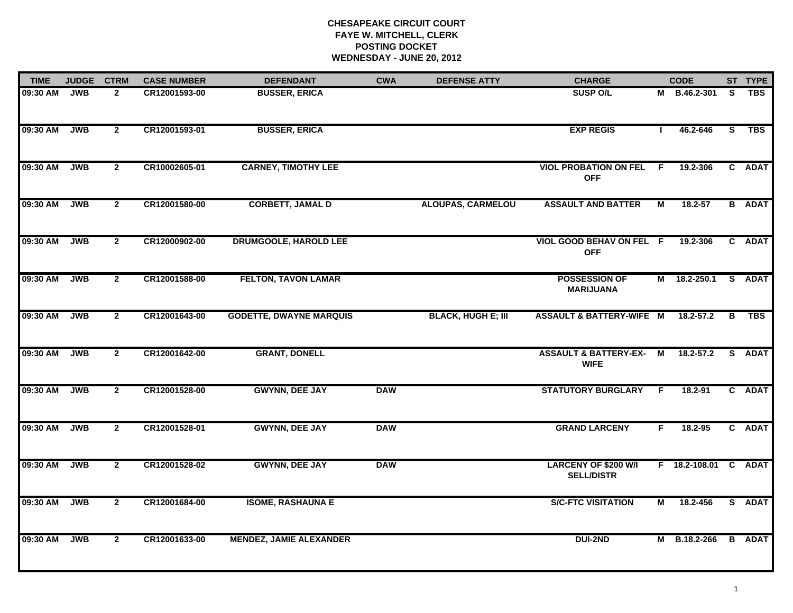# **CHESAPEAKE CIRCUIT COURT FAYE W. MITCHELL, CLERK POSTING DOCKET WEDNESDAY - JUNE 20, 2012**

| <b>TIME</b> | <b>JUDGE</b> | <b>CTRM</b>    | <b>CASE NUMBER</b> | <b>DEFENDANT</b>               | <b>CWA</b> | <b>DEFENSE ATTY</b>       | <b>CHARGE</b>                                    |              | <b>CODE</b>          |          | ST TYPE       |
|-------------|--------------|----------------|--------------------|--------------------------------|------------|---------------------------|--------------------------------------------------|--------------|----------------------|----------|---------------|
| 09:30 AM    | <b>JWB</b>   | $\overline{2}$ | CR12001593-00      | <b>BUSSER, ERICA</b>           |            |                           | <b>SUSP O/L</b>                                  |              | M B.46.2-301         | S.       | <b>TBS</b>    |
| 09:30 AM    | <b>JWB</b>   | $\overline{2}$ | CR12001593-01      | <b>BUSSER, ERICA</b>           |            |                           | <b>EXP REGIS</b>                                 | $\mathbf{I}$ | 46.2-646             | <b>S</b> | TBS           |
| 09:30 AM    | <b>JWB</b>   | $\overline{2}$ | CR10002605-01      | <b>CARNEY, TIMOTHY LEE</b>     |            |                           | <b>VIOL PROBATION ON FEL</b><br><b>OFF</b>       | - F          | 19.2-306             |          | C ADAT        |
| 09:30 AM    | <b>JWB</b>   | $\mathbf{2}$   | CR12001580-00      | <b>CORBETT, JAMAL D</b>        |            | <b>ALOUPAS, CARMELOU</b>  | <b>ASSAULT AND BATTER</b>                        | м            | $18.2 - 57$          |          | <b>B</b> ADAT |
| 09:30 AM    | <b>JWB</b>   | $2^{\circ}$    | CR12000902-00      | <b>DRUMGOOLE, HAROLD LEE</b>   |            |                           | VIOL GOOD BEHAV ON FEL F<br><b>OFF</b>           |              | 19.2-306             |          | C ADAT        |
| 09:30 AM    | <b>JWB</b>   | $\overline{2}$ | CR12001588-00      | <b>FELTON, TAVON LAMAR</b>     |            |                           | <b>POSSESSION OF</b><br><b>MARIJUANA</b>         |              | M 18.2-250.1         | S.       | <b>ADAT</b>   |
| 09:30 AM    | <b>JWB</b>   | $\overline{2}$ | CR12001643-00      | <b>GODETTE, DWAYNE MARQUIS</b> |            | <b>BLACK, HUGH E; III</b> | <b>ASSAULT &amp; BATTERY-WIFE M</b>              |              | 18.2-57.2            | в        | TBS           |
| 09:30 AM    | <b>JWB</b>   | $\mathbf{2}$   | CR12001642-00      | <b>GRANT, DONELL</b>           |            |                           | <b>ASSAULT &amp; BATTERY-EX-</b><br><b>WIFE</b>  | M            | $18.2 - 57.2$        | S.       | <b>ADAT</b>   |
| 09:30 AM    | <b>JWB</b>   | $\overline{2}$ | CR12001528-00      | <b>GWYNN, DEE JAY</b>          | <b>DAW</b> |                           | <b>STATUTORY BURGLARY</b>                        | -F           | $18.2 - 91$          |          | C ADAT        |
| 09:30 AM    | <b>JWB</b>   | $2^{\circ}$    | CR12001528-01      | <b>GWYNN, DEE JAY</b>          | <b>DAW</b> |                           | <b>GRAND LARCENY</b>                             | F            | $18.2 - 95$          |          | C ADAT        |
| 09:30 AM    | <b>JWB</b>   | $\overline{2}$ | CR12001528-02      | <b>GWYNN, DEE JAY</b>          | <b>DAW</b> |                           | <b>LARCENY OF \$200 W/I</b><br><b>SELL/DISTR</b> |              | F 18.2-108.01 C ADAT |          |               |
| 09:30 AM    | <b>JWB</b>   | $\overline{2}$ | CR12001684-00      | <b>ISOME, RASHAUNA E</b>       |            |                           | <b>S/C-FTC VISITATION</b>                        | М            | 18.2-456             |          | S ADAT        |
| 09:30 AM    | <b>JWB</b>   | $\overline{2}$ | CR12001633-00      | <b>MENDEZ, JAMIE ALEXANDER</b> |            |                           | <b>DUI-2ND</b>                                   |              | M B.18.2-266         |          | <b>B</b> ADAT |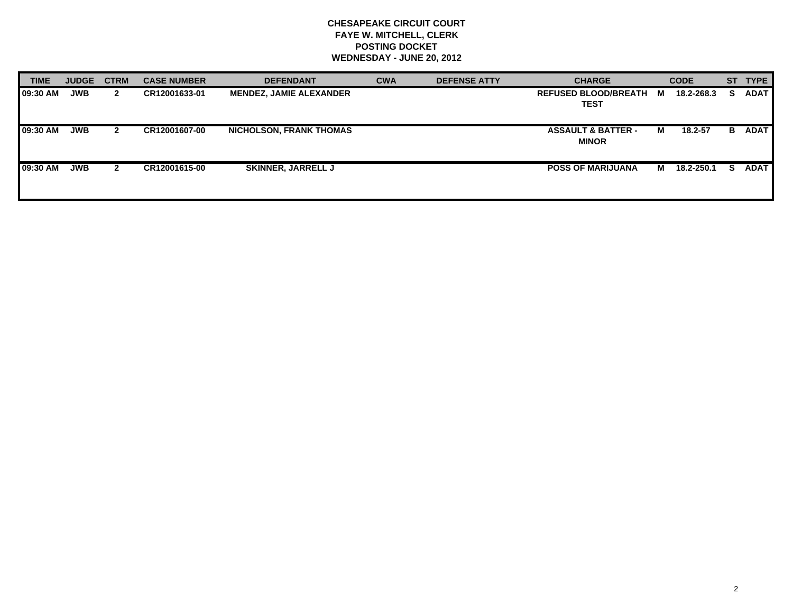# **CHESAPEAKE CIRCUIT COURT FAYE W. MITCHELL, CLERK POSTING DOCKET WEDNESDAY - JUNE 20, 2012**

| <b>TIME</b> | <b>JUDGE</b> | <b>CTRM</b>  | <b>CASE NUMBER</b> | <b>DEFENDANT</b>               | <b>CWA</b> | <b>DEFENSE ATTY</b> | <b>CHARGE</b>                                 |   | <b>CODE</b> |    | ST TYPE     |
|-------------|--------------|--------------|--------------------|--------------------------------|------------|---------------------|-----------------------------------------------|---|-------------|----|-------------|
| 09:30 AM    | <b>JWB</b>   | $\mathbf{2}$ | CR12001633-01      | <b>MENDEZ, JAMIE ALEXANDER</b> |            |                     | <b>REFUSED BLOOD/BREATH</b><br>TEST           | M | 18.2-268.3  | s  | <b>ADAT</b> |
| 09:30 AM    | <b>JWB</b>   | $\mathbf{2}$ | CR12001607-00      | <b>NICHOLSON, FRANK THOMAS</b> |            |                     | <b>ASSAULT &amp; BATTER -</b><br><b>MINOR</b> | м | 18.2-57     | В. | <b>ADAT</b> |
| 09:30 AM    | <b>JWB</b>   | $\mathbf{2}$ | CR12001615-00      | <b>SKINNER, JARRELL J</b>      |            |                     | <b>POSS OF MARIJUANA</b>                      | M | 18.2-250.1  | s  | <b>ADAT</b> |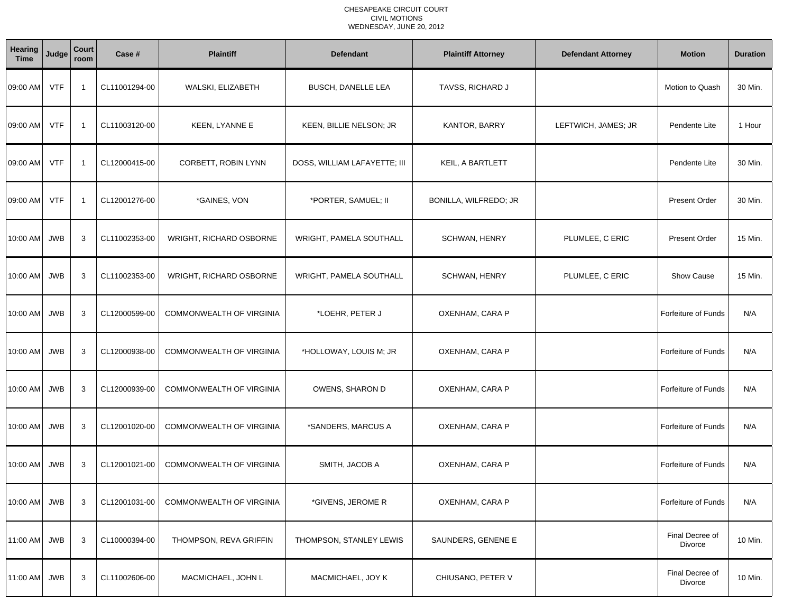| Hearing<br><b>Time</b> | Judge      | Court<br>room           | Case #        | <b>Plaintiff</b>                | <b>Defendant</b>             | <b>Plaintiff Attorney</b> | <b>Defendant Attorney</b> | <b>Motion</b>              | <b>Duration</b> |
|------------------------|------------|-------------------------|---------------|---------------------------------|------------------------------|---------------------------|---------------------------|----------------------------|-----------------|
| 09:00 AM               | <b>VTF</b> | -1                      | CL11001294-00 | WALSKI, ELIZABETH               | <b>BUSCH, DANELLE LEA</b>    | TAVSS, RICHARD J          |                           | Motion to Quash            | 30 Min.         |
| 09:00 AM               | <b>VTF</b> | $\overline{\mathbf{1}}$ | CL11003120-00 | KEEN, LYANNE E                  | KEEN, BILLIE NELSON; JR      | KANTOR, BARRY             | LEFTWICH, JAMES; JR       | Pendente Lite              | 1 Hour          |
| 09:00 AM               | <b>VTF</b> | -1                      | CL12000415-00 | CORBETT, ROBIN LYNN             | DOSS, WILLIAM LAFAYETTE; III | KEIL, A BARTLETT          |                           | Pendente Lite              | 30 Min.         |
| 09:00 AM               | <b>VTF</b> | -1                      | CL12001276-00 | *GAINES, VON                    | *PORTER, SAMUEL; II          | BONILLA, WILFREDO; JR     |                           | <b>Present Order</b>       | 30 Min.         |
| 10:00 AM JWB           |            | 3                       | CL11002353-00 | <b>WRIGHT, RICHARD OSBORNE</b>  | WRIGHT, PAMELA SOUTHALL      | SCHWAN, HENRY             | PLUMLEE, C ERIC           | <b>Present Order</b>       | 15 Min.         |
| 10:00 AM               | <b>JWB</b> | 3                       | CL11002353-00 | <b>WRIGHT, RICHARD OSBORNE</b>  | WRIGHT, PAMELA SOUTHALL      | SCHWAN, HENRY             | PLUMLEE, C ERIC           | <b>Show Cause</b>          | 15 Min.         |
| 10:00 AM               | <b>JWB</b> | 3                       | CL12000599-00 | COMMONWEALTH OF VIRGINIA        | *LOEHR, PETER J              | OXENHAM, CARA P           |                           | <b>Forfeiture of Funds</b> | N/A             |
| $10:00$ AM             | <b>JWB</b> | 3                       | CL12000938-00 | <b>COMMONWEALTH OF VIRGINIA</b> | *HOLLOWAY, LOUIS M; JR       | OXENHAM, CARA P           |                           | <b>Forfeiture of Funds</b> | N/A             |
| 10:00 AM               | <b>JWB</b> | 3                       | CL12000939-00 | COMMONWEALTH OF VIRGINIA        | OWENS, SHARON D              | OXENHAM, CARA P           |                           | <b>Forfeiture of Funds</b> | N/A             |
| 10:00 AM               | <b>JWB</b> | 3                       | CL12001020-00 | <b>COMMONWEALTH OF VIRGINIA</b> | *SANDERS, MARCUS A           | OXENHAM, CARA P           |                           | <b>Forfeiture of Funds</b> | N/A             |
| 10:00 AM JWB           |            | 3                       | CL12001021-00 | <b>COMMONWEALTH OF VIRGINIA</b> | SMITH, JACOB A               | OXENHAM, CARA P           |                           | Forfeiture of Funds        | N/A             |
| 10:00 AM JWB           |            | 3                       | CL12001031-00 | COMMONWEALTH OF VIRGINIA        | *GIVENS, JEROME R            | OXENHAM, CARA P           |                           | <b>Forfeiture of Funds</b> | N/A             |
| 11:00 AM               | <b>JWB</b> | 3                       | CL10000394-00 | THOMPSON, REVA GRIFFIN          | THOMPSON, STANLEY LEWIS      | SAUNDERS, GENENE E        |                           | Final Decree of<br>Divorce | 10 Min.         |
| 11:00 AM JWB           |            | 3                       | CL11002606-00 | MACMICHAEL, JOHN L              | MACMICHAEL, JOY K            | CHIUSANO, PETER V         |                           | Final Decree of<br>Divorce | 10 Min.         |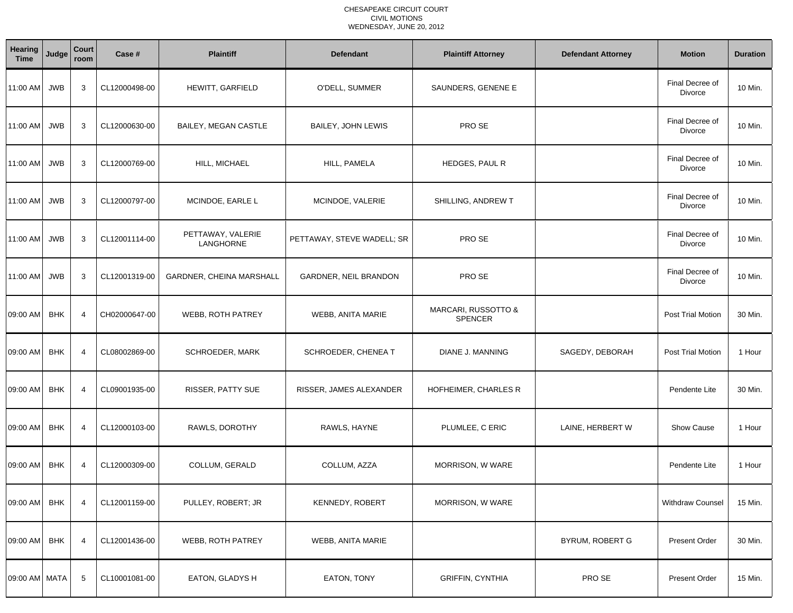| <b>Hearing</b><br><b>Time</b> | Judge      | Court<br>room  | Case #        | <b>Plaintiff</b>                | <b>Defendant</b>           | <b>Plaintiff Attorney</b>                        | <b>Defendant Attorney</b> | <b>Motion</b>              | <b>Duration</b> |
|-------------------------------|------------|----------------|---------------|---------------------------------|----------------------------|--------------------------------------------------|---------------------------|----------------------------|-----------------|
| 11:00 AM JWB                  |            | 3              | CL12000498-00 | HEWITT, GARFIELD                | O'DELL, SUMMER             | SAUNDERS, GENENE E                               |                           | Final Decree of<br>Divorce | 10 Min.         |
| 11:00 AM                      | <b>JWB</b> | 3              | CL12000630-00 | <b>BAILEY, MEGAN CASTLE</b>     | <b>BAILEY, JOHN LEWIS</b>  | PRO SE                                           |                           | Final Decree of<br>Divorce | 10 Min.         |
| 11:00 AM JWB                  |            | 3              | CL12000769-00 | HILL, MICHAEL                   | HILL, PAMELA               | HEDGES, PAUL R                                   |                           | Final Decree of<br>Divorce | 10 Min.         |
| 11:00 AM JWB                  |            | 3              | CL12000797-00 | MCINDOE, EARLE L                | MCINDOE, VALERIE           | SHILLING, ANDREW T                               |                           | Final Decree of<br>Divorce | 10 Min.         |
| 11:00 AM                      | <b>JWB</b> | 3              | CL12001114-00 | PETTAWAY, VALERIE<br>LANGHORNE  | PETTAWAY, STEVE WADELL; SR | PRO SE                                           |                           | Final Decree of<br>Divorce | 10 Min.         |
| 11:00 AM                      | <b>JWB</b> | 3              | CL12001319-00 | <b>GARDNER, CHEINA MARSHALL</b> | GARDNER, NEIL BRANDON      | PRO SE                                           |                           | Final Decree of<br>Divorce | 10 Min.         |
| 09:00 AM                      | <b>BHK</b> | $\overline{4}$ | CH02000647-00 | WEBB, ROTH PATREY               | WEBB, ANITA MARIE          | <b>MARCARI, RUSSOTTO &amp;</b><br><b>SPENCER</b> |                           | Post Trial Motion          | 30 Min.         |
| 09:00 AM                      | <b>BHK</b> | $\overline{4}$ | CL08002869-00 | SCHROEDER, MARK                 | SCHROEDER, CHENEA T        | DIANE J. MANNING                                 | SAGEDY, DEBORAH           | Post Trial Motion          | 1 Hour          |
| 09:00 AM                      | <b>BHK</b> | 4              | CL09001935-00 | RISSER, PATTY SUE               | RISSER, JAMES ALEXANDER    | HOFHEIMER, CHARLES R                             |                           | Pendente Lite              | 30 Min.         |
| 09:00 AM                      | <b>BHK</b> | 4              | CL12000103-00 | RAWLS, DOROTHY                  | RAWLS, HAYNE               | PLUMLEE, C ERIC                                  | LAINE, HERBERT W          | Show Cause                 | 1 Hour          |
| 09:00 AM                      | <b>BHK</b> | $\overline{4}$ | CL12000309-00 | COLLUM, GERALD                  | COLLUM, AZZA               | MORRISON, W WARE                                 |                           | Pendente Lite              | 1 Hour          |
| 09:00 AM                      | <b>BHK</b> | 4              | CL12001159-00 | PULLEY, ROBERT; JR              | KENNEDY, ROBERT            | MORRISON, W WARE                                 |                           | <b>Withdraw Counsel</b>    | 15 Min.         |
| 09:00 AM                      | <b>BHK</b> | 4              | CL12001436-00 | WEBB, ROTH PATREY               | <b>WEBB, ANITA MARIE</b>   |                                                  | BYRUM, ROBERT G           | Present Order              | 30 Min.         |
| 09:00 AM MATA                 |            | 5              | CL10001081-00 | EATON, GLADYS H                 | EATON, TONY                | <b>GRIFFIN, CYNTHIA</b>                          | PRO SE                    | <b>Present Order</b>       | 15 Min.         |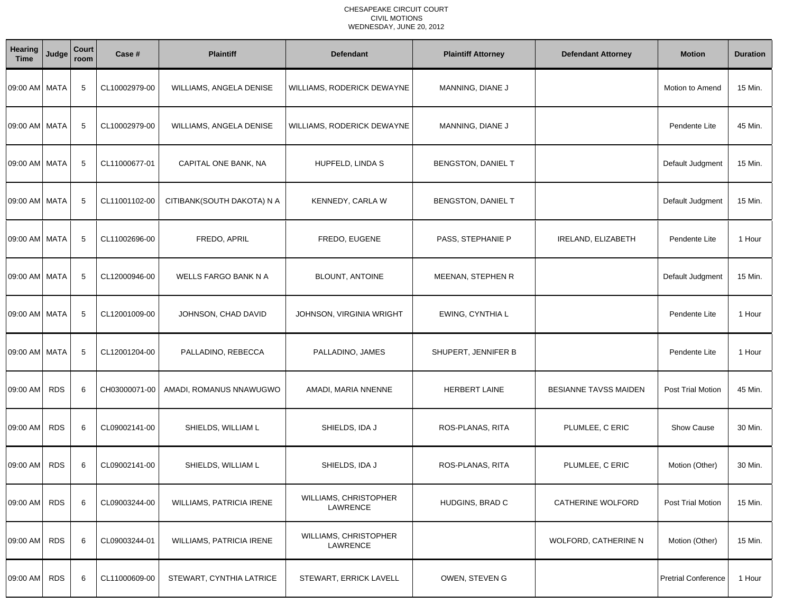| Hearing<br><b>Time</b> | Judge      | Court<br>room | Case #        | <b>Plaintiff</b>           | <b>Defendant</b>                  | <b>Plaintiff Attorney</b> | <b>Defendant Attorney</b> | <b>Motion</b>              | <b>Duration</b> |
|------------------------|------------|---------------|---------------|----------------------------|-----------------------------------|---------------------------|---------------------------|----------------------------|-----------------|
| 09:00 AM MATA          |            | 5             | CL10002979-00 | WILLIAMS, ANGELA DENISE    | WILLIAMS, RODERICK DEWAYNE        | MANNING, DIANE J          |                           | Motion to Amend            | 15 Min.         |
| 09:00 AM MATA          |            | 5             | CL10002979-00 | WILLIAMS, ANGELA DENISE    | WILLIAMS, RODERICK DEWAYNE        | MANNING, DIANE J          |                           | Pendente Lite              | 45 Min.         |
| 09:00 AM MATA          |            | 5             | CL11000677-01 | CAPITAL ONE BANK, NA       | HUPFELD, LINDA S                  | BENGSTON, DANIEL T        |                           | Default Judgment           | 15 Min.         |
| 09:00 AM MATA          |            | 5             | CL11001102-00 | CITIBANK(SOUTH DAKOTA) N A | KENNEDY, CARLA W                  | BENGSTON, DANIEL T        |                           | Default Judgment           | 15 Min.         |
| 09:00 AM MATA          |            | 5             | CL11002696-00 | FREDO, APRIL               | FREDO, EUGENE                     | PASS, STEPHANIE P         | IRELAND, ELIZABETH        | Pendente Lite              | 1 Hour          |
| 09:00 AM MATA          |            | 5             | CL12000946-00 | WELLS FARGO BANK N A       | <b>BLOUNT, ANTOINE</b>            | <b>MEENAN, STEPHEN R</b>  |                           | Default Judgment           | 15 Min.         |
| 09:00 AM MATA          |            | 5             | CL12001009-00 | JOHNSON, CHAD DAVID        | JOHNSON, VIRGINIA WRIGHT          | EWING, CYNTHIA L          |                           | Pendente Lite              | 1 Hour          |
| 09:00 AM MATA          |            | 5             | CL12001204-00 | PALLADINO, REBECCA         | PALLADINO, JAMES                  | SHUPERT, JENNIFER B       |                           | Pendente Lite              | 1 Hour          |
| 09:00 AM               | <b>RDS</b> | 6             | CH03000071-00 | AMADI, ROMANUS NNAWUGWO    | AMADI, MARIA NNENNE               | <b>HERBERT LAINE</b>      | BESIANNE TAVSS MAIDEN     | Post Trial Motion          | 45 Min.         |
| 09:00 AM               | <b>RDS</b> | 6             | CL09002141-00 | SHIELDS, WILLIAM L         | SHIELDS, IDA J                    | ROS-PLANAS, RITA          | PLUMLEE, C ERIC           | <b>Show Cause</b>          | 30 Min.         |
| 09:00 AM               | <b>RDS</b> | 6             | CL09002141-00 | SHIELDS, WILLIAM L         | SHIELDS, IDA J                    | ROS-PLANAS, RITA          | PLUMLEE, C ERIC           | Motion (Other)             | 30 Min.         |
| 09:00 AM RDS           |            | 6             | CL09003244-00 | WILLIAMS, PATRICIA IRENE   | WILLIAMS, CHRISTOPHER<br>LAWRENCE | HUDGINS, BRAD C           | CATHERINE WOLFORD         | Post Trial Motion          | 15 Min.         |
| 09:00 AM               | <b>RDS</b> | 6             | CL09003244-01 | WILLIAMS, PATRICIA IRENE   | WILLIAMS, CHRISTOPHER<br>LAWRENCE |                           | WOLFORD, CATHERINE N      | Motion (Other)             | 15 Min.         |
| 09:00 AM RDS           |            | 6             | CL11000609-00 | STEWART, CYNTHIA LATRICE   | STEWART, ERRICK LAVELL            | OWEN, STEVEN G            |                           | <b>Pretrial Conference</b> | 1 Hour          |